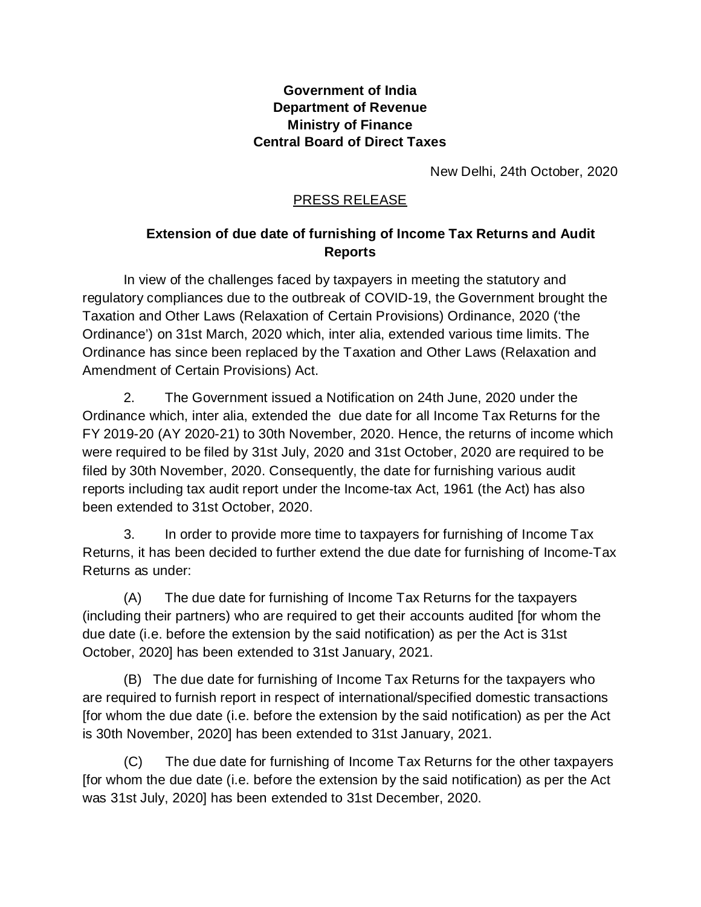## **Government of India Department of Revenue Ministry of Finance Central Board of Direct Taxes**

New Delhi, 24th October, 2020

## PRESS RELEASE

## **Extension of due date of furnishing of Income Tax Returns and Audit Reports**

In view of the challenges faced by taxpayers in meeting the statutory and regulatory compliances due to the outbreak of COVID-19, the Government brought the Taxation and Other Laws (Relaxation of Certain Provisions) Ordinance, 2020 ('the Ordinance') on 31st March, 2020 which, inter alia, extended various time limits. The Ordinance has since been replaced by the Taxation and Other Laws (Relaxation and Amendment of Certain Provisions) Act.

2. The Government issued a Notification on 24th June, 2020 under the Ordinance which, inter alia, extended the due date for all Income Tax Returns for the FY 2019-20 (AY 2020-21) to 30th November, 2020. Hence, the returns of income which were required to be filed by 31st July, 2020 and 31st October, 2020 are required to be filed by 30th November, 2020. Consequently, the date for furnishing various audit reports including tax audit report under the Income-tax Act, 1961 (the Act) has also been extended to 31st October, 2020.

3. In order to provide more time to taxpayers for furnishing of Income Tax Returns, it has been decided to further extend the due date for furnishing of Income-Tax Returns as under:

(A) The due date for furnishing of Income Tax Returns for the taxpayers (including their partners) who are required to get their accounts audited [for whom the due date (i.e. before the extension by the said notification) as per the Act is 31st October, 2020] has been extended to 31st January, 2021.

(B) The due date for furnishing of Income Tax Returns for the taxpayers who are required to furnish report in respect of international/specified domestic transactions [for whom the due date (i.e. before the extension by the said notification) as per the Act is 30th November, 2020] has been extended to 31st January, 2021.

(C) The due date for furnishing of Income Tax Returns for the other taxpayers [for whom the due date (i.e. before the extension by the said notification) as per the Act was 31st July, 2020] has been extended to 31st December, 2020.